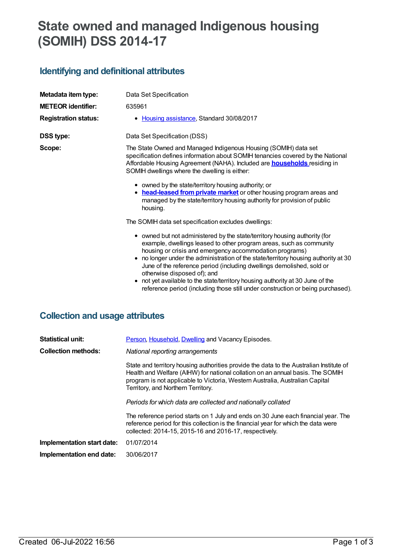# **State owned and managed Indigenous housing (SOMIH) DSS 2014-17**

# **Identifying and definitional attributes**

| Metadata item type:         | Data Set Specification                                                                                                                                                                                                                                                                                                                                                                                                                                                                                                                                                         |  |  |
|-----------------------------|--------------------------------------------------------------------------------------------------------------------------------------------------------------------------------------------------------------------------------------------------------------------------------------------------------------------------------------------------------------------------------------------------------------------------------------------------------------------------------------------------------------------------------------------------------------------------------|--|--|
| <b>METEOR identifier:</b>   | 635961                                                                                                                                                                                                                                                                                                                                                                                                                                                                                                                                                                         |  |  |
| <b>Registration status:</b> | • Housing assistance, Standard 30/08/2017                                                                                                                                                                                                                                                                                                                                                                                                                                                                                                                                      |  |  |
| <b>DSS type:</b>            | Data Set Specification (DSS)                                                                                                                                                                                                                                                                                                                                                                                                                                                                                                                                                   |  |  |
| Scope:                      | The State Owned and Managed Indigenous Housing (SOMIH) data set<br>specification defines information about SOMIH tenancies covered by the National<br>Affordable Housing Agreement (NAHA). Included are <b>households</b> residing in<br>SOMIH dwellings where the dwelling is either:                                                                                                                                                                                                                                                                                         |  |  |
|                             | • owned by the state/territory housing authority; or<br>• head-leased from private market or other housing program areas and<br>managed by the state/territory housing authority for provision of public<br>housing.                                                                                                                                                                                                                                                                                                                                                           |  |  |
|                             | The SOMIH data set specification excludes dwellings:                                                                                                                                                                                                                                                                                                                                                                                                                                                                                                                           |  |  |
|                             | • owned but not administered by the state/territory housing authority (for<br>example, dwellings leased to other program areas, such as community<br>housing or crisis and emergency accommodation programs)<br>• no longer under the administration of the state/territory housing authority at 30<br>June of the reference period (including dwellings demolished, sold or<br>otherwise disposed of); and<br>not yet available to the state/territory housing authority at 30 June of the<br>reference period (including those still under construction or being purchased). |  |  |

## **Collection and usage attributes**

| <b>Statistical unit:</b>   | Person, Household, Dwelling and Vacancy Episodes.                                                                                                                                                                                                                                               |  |
|----------------------------|-------------------------------------------------------------------------------------------------------------------------------------------------------------------------------------------------------------------------------------------------------------------------------------------------|--|
| <b>Collection methods:</b> | National reporting arrangements                                                                                                                                                                                                                                                                 |  |
|                            | State and territory housing authorities provide the data to the Australian Institute of<br>Health and Welfare (AIHW) for national collation on an annual basis. The SOMIH<br>program is not applicable to Victoria, Western Australia, Australian Capital<br>Territory, and Northern Territory. |  |
|                            | Periods for which data are collected and nationally collated                                                                                                                                                                                                                                    |  |
|                            | The reference period starts on 1 July and ends on 30 June each financial year. The<br>reference period for this collection is the financial year for which the data were<br>collected: 2014-15, 2015-16 and 2016-17, respectively.                                                              |  |
| Implementation start date: | 01/07/2014                                                                                                                                                                                                                                                                                      |  |
| Implementation end date:   | 30/06/2017                                                                                                                                                                                                                                                                                      |  |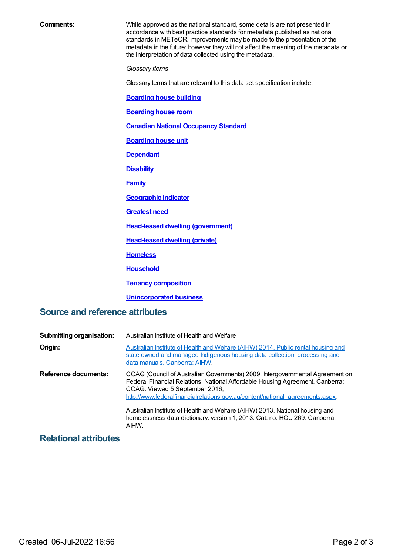**Comments:** While approved as the national standard, some details are not presented in accordance with best practice standards for metadata published as national standards in METeOR. Improvements may be made to the presentation of the metadata in the future; however they will not affect the meaning of the metadata or the interpretation of data collected using the metadata. *Glossary items* Glossary terms that are relevant to this data set specification include: **[Boarding](https://meteor.aihw.gov.au/content/327408) house building [Boarding](https://meteor.aihw.gov.au/content/327410) house room Canadian National [Occupancy](https://meteor.aihw.gov.au/content/386254) Standard [Boarding](https://meteor.aihw.gov.au/content/327412) house unit [Dependant](https://meteor.aihw.gov.au/content/327458) [Disability](https://meteor.aihw.gov.au/content/327304) [Family](https://meteor.aihw.gov.au/content/351499) [Geographic](https://meteor.aihw.gov.au/content/327306) indicator [Greatest](https://meteor.aihw.gov.au/content/494368) need Head-leased dwelling [\(government\)](https://meteor.aihw.gov.au/content/327318) [Head-leased](https://meteor.aihw.gov.au/content/639150) dwelling (private) [Homeless](https://meteor.aihw.gov.au/content/327244) [Household](https://meteor.aihw.gov.au/content/465183) Tenancy [composition](https://meteor.aihw.gov.au/content/327444) [Unincorporated](https://meteor.aihw.gov.au/content/327462) business**

### **Source and reference attributes**

| <b>Submitting organisation:</b> | Australian Institute of Health and Welfare                                                                                                                                                                                                                                                                                                                                                                                                              |  |
|---------------------------------|---------------------------------------------------------------------------------------------------------------------------------------------------------------------------------------------------------------------------------------------------------------------------------------------------------------------------------------------------------------------------------------------------------------------------------------------------------|--|
| Origin:                         | Australian Institute of Health and Welfare (AIHW) 2014. Public rental housing and<br>state owned and managed Indigenous housing data collection, processing and<br>data manuals. Canberra: AIHW.                                                                                                                                                                                                                                                        |  |
| <b>Reference documents:</b>     | COAG (Council of Australian Governments) 2009. Intergovernmental Agreement on<br>Federal Financial Relations: National Affordable Housing Agreement. Canberra:<br>COAG. Viewed 5 September 2016,<br>http://www.federalfinancialrelations.gov.au/content/national_agreements.aspx<br>Australian Institute of Health and Welfare (AIHW) 2013. National housing and<br>homelessness data dictionary: version 1, 2013. Cat. no. HOU 269. Canberra:<br>AIHW. |  |

#### **Relational attributes**